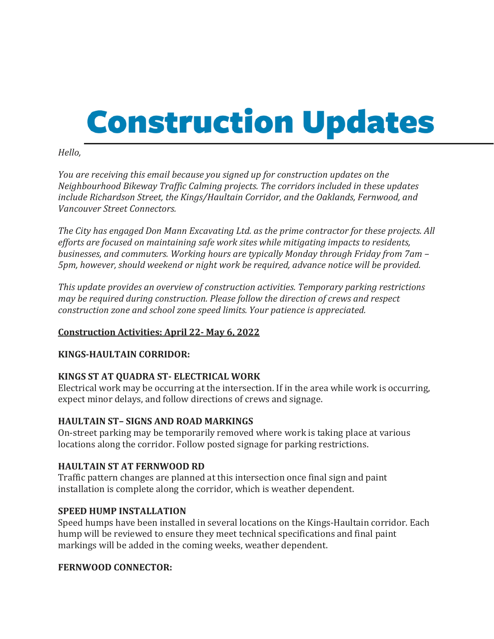# **Construction Updates**

#### *Hello,*

*You are receiving this email because you signed up for construction updates on the Neighbourhood Bikeway Traffic Calming projects. The corridors included in these updates include Richardson Street, the Kings/Haultain Corridor, and the Oaklands, Fernwood, and Vancouver Street Connectors.*

*The City has engaged Don Mann Excavating Ltd. as the prime contractor for these projects. All efforts are focused on maintaining safe work sites while mitigating impacts to residents, businesses, and commuters. Working hours are typically Monday through Friday from 7am – 5pm, however, should weekend or night work be required, advance notice will be provided.*

*This update provides an overview of construction activities. Temporary parking restrictions may be required during construction. Please follow the direction of crews and respect construction zone and school zone speed limits. Your patience is appreciated.*

# **Construction Activities: April 22- May 6, 2022**

# **KINGS-HAULTAIN CORRIDOR:**

# **KINGS ST AT QUADRA ST- ELECTRICAL WORK**

Electrical work may be occurring at the intersection. If in the area while work is occurring, expect minor delays, and follow directions of crews and signage.

#### **HAULTAIN ST– SIGNS AND ROAD MARKINGS**

On-street parking may be temporarily removed where work is taking place at various locations along the corridor. Follow posted signage for parking restrictions.

#### **HAULTAIN ST AT FERNWOOD RD**

Traffic pattern changes are planned at this intersection once final sign and paint installation is complete along the corridor, which is weather dependent.

#### **SPEED HUMP INSTALLATION**

Speed humps have been installed in several locations on the Kings-Haultain corridor. Each hump will be reviewed to ensure they meet technical specifications and final paint markings will be added in the coming weeks, weather dependent.

#### **FERNWOOD CONNECTOR:**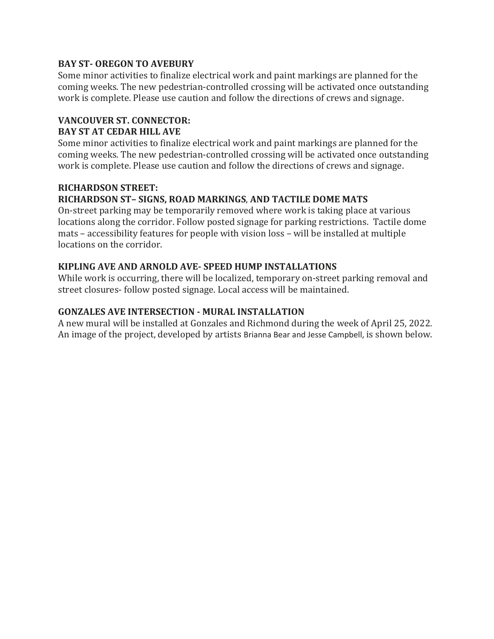#### **BAY ST- OREGON TO AVEBURY**

Some minor activities to finalize electrical work and paint markings are planned for the coming weeks. The new pedestrian-controlled crossing will be activated once outstanding work is complete. Please use caution and follow the directions of crews and signage.

#### **VANCOUVER ST. CONNECTOR: BAY ST AT CEDAR HILL AVE**

Some minor activities to finalize electrical work and paint markings are planned for the coming weeks. The new pedestrian-controlled crossing will be activated once outstanding work is complete. Please use caution and follow the directions of crews and signage.

# **RICHARDSON STREET: RICHARDSON ST– SIGNS, ROAD MARKINGS**, **AND TACTILE DOME MATS**

On-street parking may be temporarily removed where work is taking place at various locations along the corridor. Follow posted signage for parking restrictions. Tactile dome mats – accessibility features for people with vision loss – will be installed at multiple locations on the corridor.

# **KIPLING AVE AND ARNOLD AVE- SPEED HUMP INSTALLATIONS**

While work is occurring, there will be localized, temporary on-street parking removal and street closures- follow posted signage. Local access will be maintained.

# **GONZALES AVE INTERSECTION - MURAL INSTALLATION**

A new mural will be installed at Gonzales and Richmond during the week of April 25, 2022. An image of the project, developed by artists Brianna Bear and Jesse Campbell, is shown below.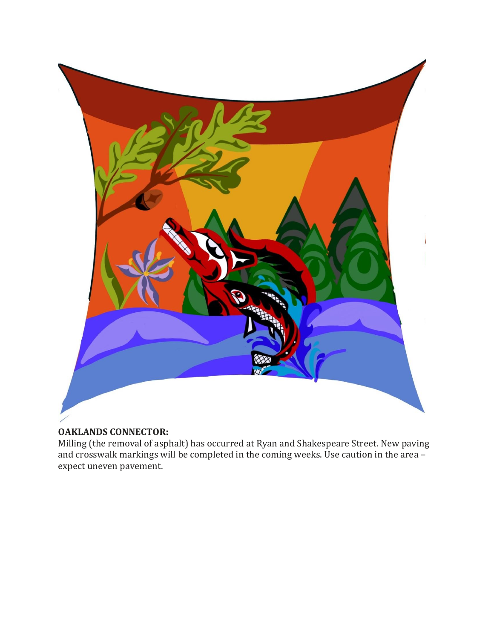

# **OAKLANDS CONNECTOR:**

Milling (the removal of asphalt) has occurred at Ryan and Shakespeare Street. New paving and crosswalk markings will be completed in the coming weeks. Use caution in the area – expect uneven pavement.